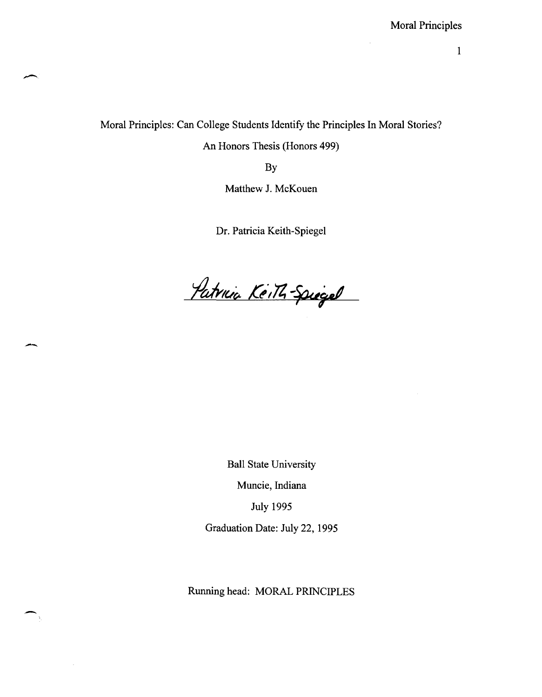Moral Principles: Can College Students Identify the Principles In Moral Stories?

An Honors Thesis (Honors 499)

By

Matthew J. McKouen

Dr. Patricia Keith-Spiegel

Patrica Keith-Spiegel  $\overline{\phantom{a}}$ 

Ball State University Muncie, Indiana July 1995 Graduation Date: July 22, 1995

Running head: MORAL PRINCIPLES

-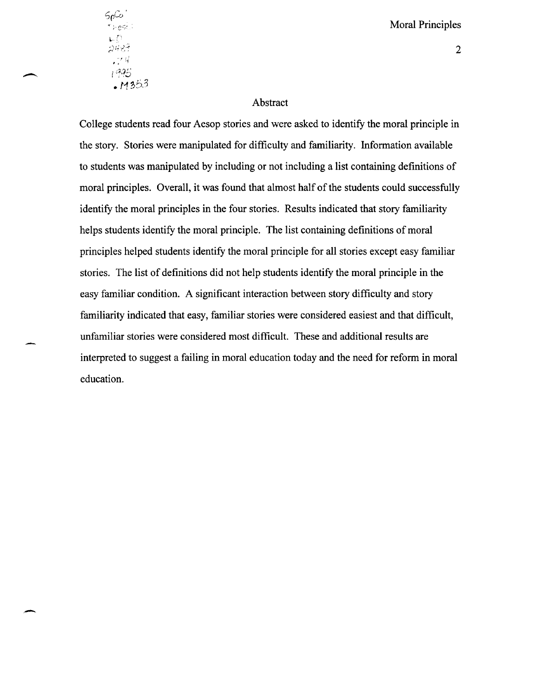$50^\circ$ r y gsi 1995  $.11353$ 

 $\overline{\phantom{a}}$ 

## 2

#### Abstract

College students read four Aesop stories and were asked to identify the moral principle in the story. Stories were manipulated for difficulty and familiarity. Information available to students was manipulated by including or not including a list containing definitions of moral principles. Overall, it was found that almost half of the students could successfully identify the moral principles in the four stories. Results indicated that story familiarity helps students identify the moral principle. The list containing definitions of moral principles helped students identify the moral principle for all stories except easy familiar stories. The list of definitions did not help students identify the moral principle in the easy familiar condition. A significant interaction between story difficulty and story familiarity indicated that easy, familiar stories were considered easiest and that difficult, unfamiliar stories were considered most difficult. These and additional results are interpreted to suggest a failing in moral education today and the need for reform in moral education.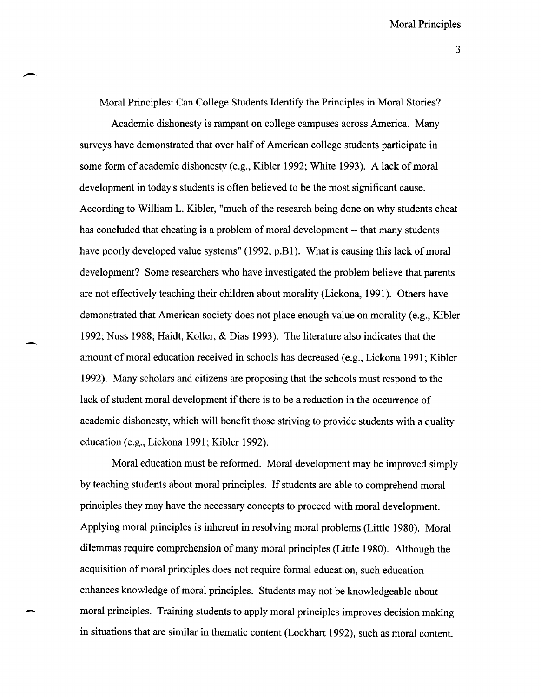Moral Principles: Can College Students Identify the Principles in Moral Stories?

Academic dishonesty is rampant on college campuses across America. Many surveys have demonstrated that over half of American college students participate in some form of academic dishonesty (e.g., Kibler 1992; White 1993). A lack of moral development in today's students is often believed to be the most significant cause. According to William L. Kibler, "much of the research being done on why students cheat has concluded that cheating is a problem of moral development -- that many students have poorly developed value systems" (1992, p.B1). What is causing this lack of moral development? Some researchers who have investigated the problem believe that parents are not effectively teaching their children about morality (Lickona, 1991). Others have demonstrated that American society does not place enough value on morality (e.g., Kibler 1992; Nuss 1988; Haidt, Koller, & Dias 1993). The literature also indicates that the amount of moral education received in schools has decreased (e.g., Lickona 1991; Kibler 1992). Many scholars and citizens are proposing that the schools must respond to the lack of student moral development if there is to be a reduction in the occurrence of academic dishonesty, which will benefit those striving to provide students with a quality education (e.g., Lickona 1991; Kibler 1992).

Moral education must be reformed. Moral development may be improved simply by teaching students about moral principles. If students are able to comprehend moral principles they may have the necessary concepts to proceed with moral development. Applying moral principles is inherent in resolving moral problems (Little 1980). Moral dilemmas require comprehension of many moral principles (Little 1980). Although the acquisition of moral principles does not require formal education, such education enhances knowledge of moral principles. Students may not be knowledgeable about moral principles. Training students to apply moral principles improves decision making in situations that are similar in thematic content (Lockhart 1992), such as moral content.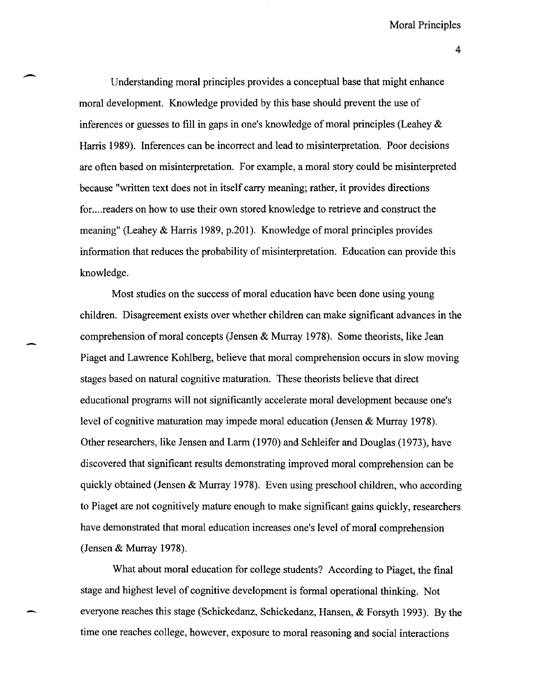Understanding moral principles provides a conceptual base that might enhance moral development. Knowledge provided by this base should prevent the use of inferences or guesses to fill in gaps in one's knowledge of moral principles (Leahey & Harris 1989). Inferences can be incorrect and lead to misinterpretation. Poor decisions are often based on misinterpretation. For example, a moral story could be misinterpreted because "written text does not in itself carry meaning; rather, it provides directions for. ... readers on how to use their own stored knowledge to retrieve and construct the meaning" (Leahey & Harris 1989, p.201). Knowledge of moral principles provides information that reduces the probability of misinterpretation. Education can provide this knowledge.

-

Most studies on the success of moral education have been done using young children. Disagreement exists over whether children can make significant advances in the comprehension of moral concepts (Jensen & Murray 1978). Some theorists, like Jean Piaget and Lawrence Kohlberg, believe that moral comprehension occurs in slow moving stages based on natural cognitive maturation. These theorists believe that direct educational programs will not significantly accelerate moral development because one's level of cognitive maturation may impede moral education (Jensen & Murray 1978). Other researchers, like Jensen and Larm (1970) and Schleifer and Douglas (1973), have discovered that significant results demonstrating improved moral comprehension can be quickly obtained (Jensen & Murray 1978). Even using preschool children, who according to Piaget are not cognitively mature enough to make significant gains quickly, researchers have demonstrated that moral education increases one's level of moral comprehension (Jensen & Murray 1978).

What about moral education for college students? According to Piaget, the final stage and highest level of cognitive development is formal operational thinking. Not everyone reaches this stage (Schickedanz, Schickedanz, Hansen, & Forsyth 1993). By the time one reaches college, however, exposure to moral reasoning and social interactions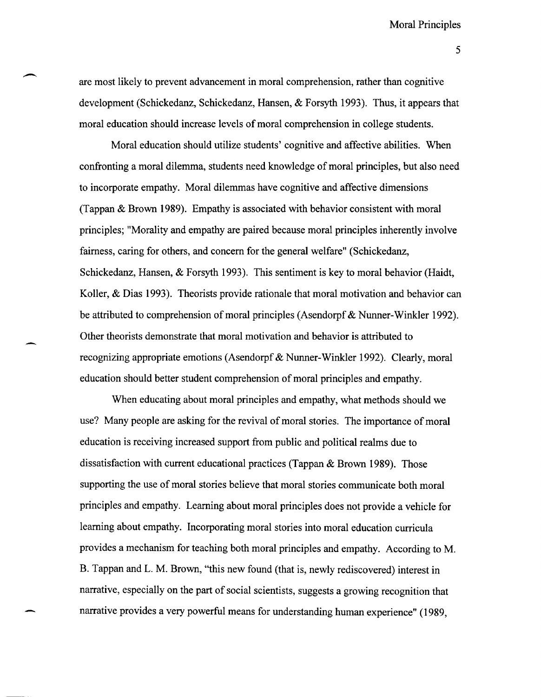5

are most likely to prevent advancement in moral comprehension, rather than cognitive development (Schickedanz, Schickedanz, Hansen, & Forsyth 1993). Thus, it appears that moral education should increase levels of moral comprehension in college students.

Moral education should utilize students' cognitive and affective abilities. When confronting a moral dilemma, students need knowledge of moral principles, but also need to incorporate empathy. Moral dilemmas have cognitive and affective dimensions (Tappan & Brown 1989). Empathy is associated with behavior consistent with moral principles; "Morality and empathy are paired because moral principles inherently involve fairness, caring for others, and concern for the general welfare" (Schickedanz, Schickedanz, Hansen, & Forsyth 1993). This sentiment is key to moral behavior (Haidt, Koller, & Dias 1993). Theorists provide rationale that moral motivation and behavior can be attributed to comprehension of moral principles (Asendorpf & Nunner-Winkler 1992). Other theorists demonstrate that moral motivation and behavior is attributed to recognizing appropriate emotions (Asendorpf & Nunner-Winkler 1992). Clearly, moral education should better student comprehension of moral principles and empathy.

When educating about moral principles and empathy, what methods should we use? Many people are asking for the revival of moral stories. The importance of moral education is receiving increased support from public and political realms due to dissatisfaction with current educational practices (Tappan & Brown 1989). Those supporting the use of moral stories believe that moral stories communicate both moral principles and empathy. Learning about moral principles does not provide a vehicle for learning about empathy. Incorporating moral stories into moral education curricula provides a mechanism for teaching both moral principles and empathy. According to M. B. Tappan and L. M. Brown, "this new found (that is, newly rediscovered) interest in narrative, especially on the part of social scientists, suggests a growing recognition that narrative provides a very powerful means for understanding human experience" (1989,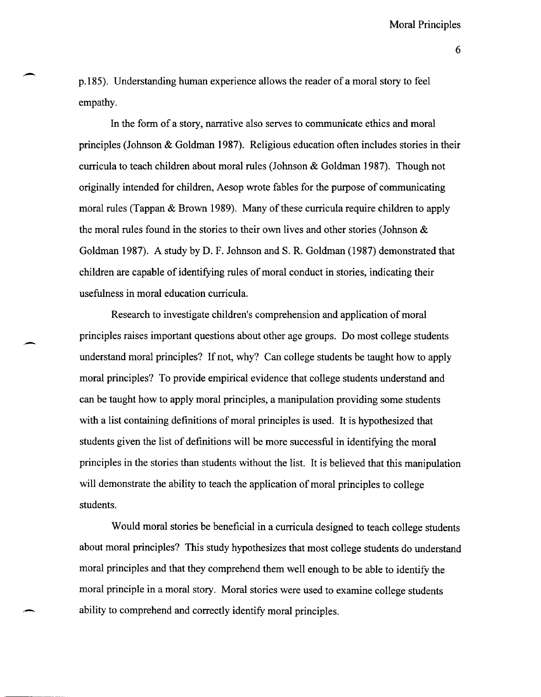p.185). Understanding human experience allows the reader of a moral story to feel empathy.

-

.-

In the form of a story, narrative also serves to communicate ethics and moral principles (Johnson & Goldman 1987). Religious education often includes stories in their curricula to teach children about moral rules (Johnson & Goldman 1987). Though not originally intended for children, Aesop wrote fables for the purpose of communicating moral rules (Tappan  $& Brown$  1989). Many of these curricula require children to apply the moral rules found in the stories to their own lives and other stories (Johnson & Goldman 1987). A study by D. F. Johnson and S. R. Goldman (1987) demonstrated that children are capable of identifying rules of moral conduct in stories, indicating their usefulness in moral education curricula.

Research to investigate children's comprehension and application of moral principles raises important questions about other age groups. Do most college students understand moral principles? If not, why? Can college students be taught how to apply moral principles? To provide empirical evidence that college students understand and can be taught how to apply moral principles, a manipulation providing some students with a list containing definitions of moral principles is used. It is hypothesized that students given the list of definitions will be more successful in identifying the moral principles in the stories than students without the list. It is believed that this manipulation will demonstrate the ability to teach the application of moral principles to college students.

Would moral stories be beneficial in a curricula designed to teach college students about moral principles? This study hypothesizes that most college students do understand moral principles and that they comprehend them well enough to be able to identify the moral principle in a moral story. Moral stories were used to examine college students ability to comprehend and correctly identify moral principles.

6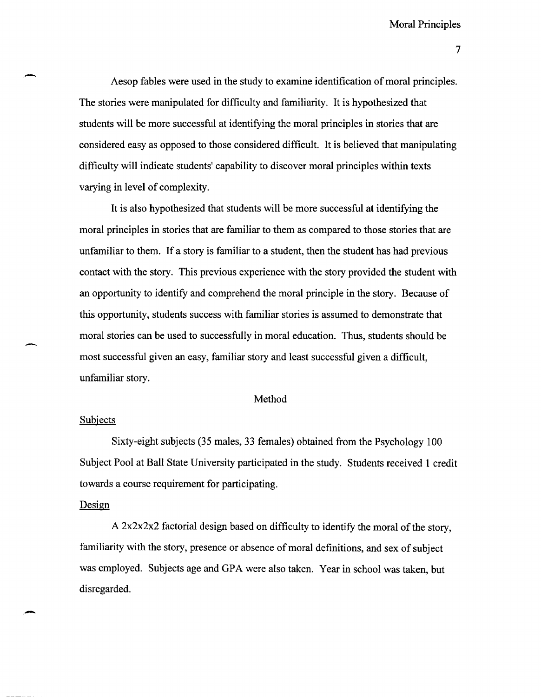7

Aesop fables were used in the study to examine identification of moral principles. The stories were manipulated for difficulty and familiarity. It is hypothesized that students will be more successful at identifying the moral principles in stories that are considered easy as opposed to those considered difficult. It is believed that manipulating difficulty will indicate students' capability to discover moral principles within texts varying in level of complexity.

It is also hypothesized that students will be more successful at identifying the moral principles in stories that are familiar to them as compared to those stories that are unfamiliar to them. If a story is familiar to a student, then the student has had previous contact with the story. This previous experience with the story provided the student with an opportunity to identify and comprehend the moral principle in the story. Because of this opportunity, students success with familiar stories is assumed to demonstrate that moral stories can be used to successfully in moral education. Thus, students should be most successful given an easy, familiar story and least successful given a difficult, unfamiliar story.

#### Method

#### **Subjects**

-

Sixty-eight subjects (35 males, 33 females) obtained from the Psychology 100 Subject Pool at Ball State University participated in the study. Students received 1 credit towards a course requirement for participating.

#### Design

-

A 2x2x2x2 factorial design based on difficulty to identify the moral of the story, familiarity with the story, presence or absence of moral definitions, and sex of subject was employed. Subjects age and GPA were also taken. Year in school was taken, but disregarded.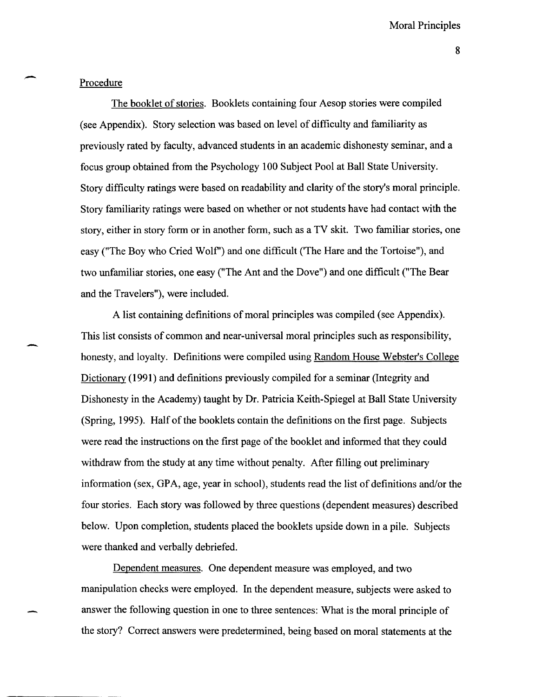#### Procedure

-

-

The booklet of stories. Booklets containing four Aesop stories were compiled (see Appendix). Story selection was based on level of difficulty and familiarity as previously rated by faculty, advanced students in an academic dishonesty seminar, and a focus group obtained from the Psychology 100 Subject Pool at Ball State University. Story difficulty ratings were based on readability and clarity of the story's moral principle. Story familiarity ratings were based on whether or not students have had contact with the story, either in story form or in another form, such as a TV skit. Two familiar stories, one easy ("The Boy who Cried Wolf") and one difficult ('The Hare and the Tortoise''), and two unfamiliar stories, one easy ("The Ant and the Dove") and one difficult ("The Bear and the Travelers"), were included.

A list containing definitions of moral principles was compiled (see Appendix). This list consists of common and near-universal moral principles such as responsibility, honesty, and loyalty. Definitions were compiled using Random House Webster's College Dictionary (1991) and definitions previously compiled for a seminar (Integrity and Dishonesty in the Academy) taught by Dr. Patricia Keith-Spiegel at Ball State University (Spring, 1995). Half of the booklets contain the definitions on the first page. Subjects were read the instructions on the first page of the booklet and informed that they could withdraw from the study at any time without penalty. After filling out preliminary information (sex, GPA, age, year in school), students read the list of definitions and/or the four stories. Each story was followed by three questions (dependent measures) described below. Upon completion, students placed the booklets upside down in a pile. Subjects were thanked and verbally debriefed.

Dependent measures. One dependent measure was employed, and two manipulation checks were employed. In the dependent measure, subjects were asked to answer the following question in one to three sentences: What is the moral principle of the story? Correct answers were predetermined, being based on moral statements at the

8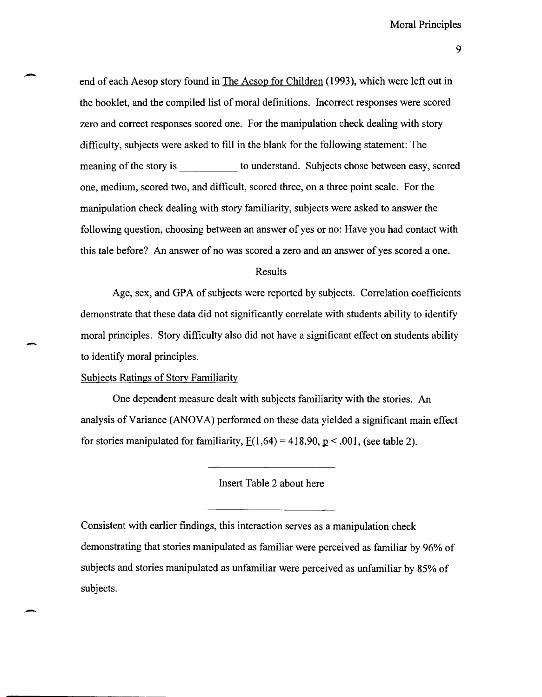end of each Aesop story found in The Aesop for Children (1993), which were left out in the booklet, and the compiled list of moral definitions. Incorrect responses were scored zero and correct responses scored one. For the manipulation check dealing with story difficulty, subjects were asked to fill in the blank for the following statement: The meaning of the story is to understand. Subjects chose between easy, scored one, medium, scored two, and difficult, scored three, on a three point scale. For the manipulation check dealing with story familiarity, subjects were asked to answer the following question, choosing between an answer of yes or no: Have you had contact with this tale before? An answer of no was scored a zero and an answer of yes scored a one.

#### Results

Age, sex, and GPA of subjects were reported by subjects. Correlation coefficients demonstrate that these data did not significantly correlate with students ability to identify moral principles. Story difficulty also did not have a significant effect on students ability to identify moral principles.

Subjects Ratings of Story Familiarity

One dependent measure dealt with subjects familiarity with the stories. An analysis of Variance (ANOVA) performed on these data yielded a significant main effect for stories manipulated for familiarity,  $F(1,64) = 418.90$ ,  $p < .001$ , (see table 2).

Insert Table 2 about here

Consistent with earlier findings, this interaction serves as a manipulation check demonstrating that stories manipulated as familiar were perceived as familiar by 96% of subjects and stories manipulated as unfamiliar were perceived as unfamiliar by 85% of subjects.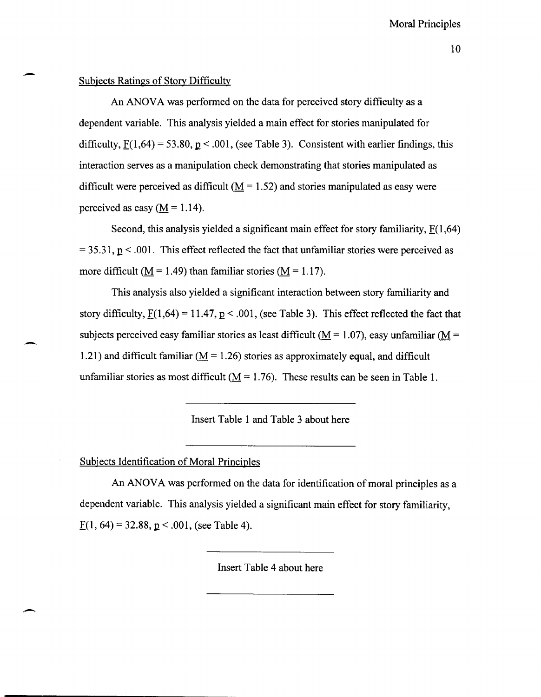#### Subjects Ratings of Story Difficulty

-

-

,-

An ANOVA was performed on the data for perceived story difficulty as a dependent variable. This analysis yielded a main effect for stories manipulated for difficulty,  $F(1,64) = 53.80$ ,  $p < .001$ , (see Table 3). Consistent with earlier findings, this interaction serves as a manipulation check demonstrating that stories manipulated as difficult were perceived as difficult ( $M = 1.52$ ) and stories manipulated as easy were perceived as easy  $(M = 1.14)$ .

Second, this analysis yielded a significant main effect for story familiarity,  $F(1,64)$  $=$  35.31,  $p$  < .001. This effect reflected the fact that unfamiliar stories were perceived as more difficult ( $\underline{M} = 1.49$ ) than familiar stories ( $\underline{M} = 1.17$ ).

This analysis also yielded a significant interaction between story familiarity and story difficulty,  $\underline{F}(1,64) = 11.47, \underline{p} < .001$ , (see Table 3). This effect reflected the fact that subjects perceived easy familiar stories as least difficult ( $M = 1.07$ ), easy unfamiliar ( $M =$ 1.21) and difficult familiar ( $M = 1.26$ ) stories as approximately equal, and difficult unfamiliar stories as most difficult ( $\underline{M} = 1.76$ ). These results can be seen in Table 1.

#### Insert Table 1 and Table 3 about here

## Subjects Identification of Moral Principles

An ANOVA was performed on the data for identification of moral principles as a dependent variable. This analysis yielded a significant main effect for story familiarity,  $F(1, 64) = 32.88$ , p < .001, (see Table 4).

Insert Table 4 about here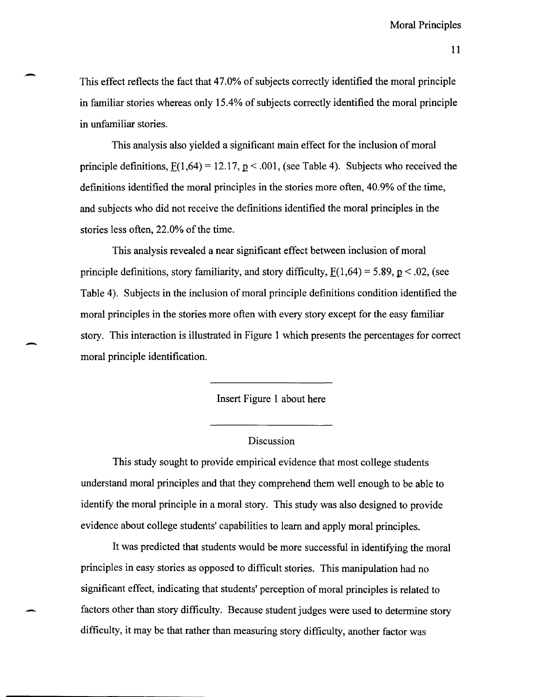This effect reflects the fact that 47.0% of subjects correctly identified the moral principle in familiar stories whereas only 15.4% of subjects correctly identified the moral principle in unfamiliar stories.

This analysis also yielded a significant main effect for the inclusion of moral principle definitions,  $F(1,64) = 12.17$ ,  $p < .001$ , (see Table 4). Subjects who received the definitions identified the moral principles in the stories more often, 40.9% of the time, and subjects who did not receive the definitions identified the moral principles in the stories less often, 22.0% of the time.

This analysis revealed a near significant effect between inclusion of moral principle definitions, story familiarity, and story difficulty,  $F(1,64) = 5.89, p < .02$ , (see Table 4). Subjects in the inclusion of moral principle definitions condition identified the moral principles in the stories more often with every story except for the easy familiar story. This interaction is illustrated in Figure 1 which presents the percentages for correct moral principle identification.

-

Insert Figure 1 about here

### **Discussion**

This study sought to provide empirical evidence that most college students understand moral principles and that they comprehend them well enough to be able to identify the moral principle in a moral story. This study was also designed to provide evidence about college students' capabilities to learn and apply moral principles.

It was predicted that students would be more successful in identifying the moral principles in easy stories as opposed to difficult stories. This manipulation had no significant effect, indicating that students' perception of moral principles is related to factors other than story difficulty. Because student judges were used to determine story difficulty, it may be that rather than measuring story difficulty, another factor was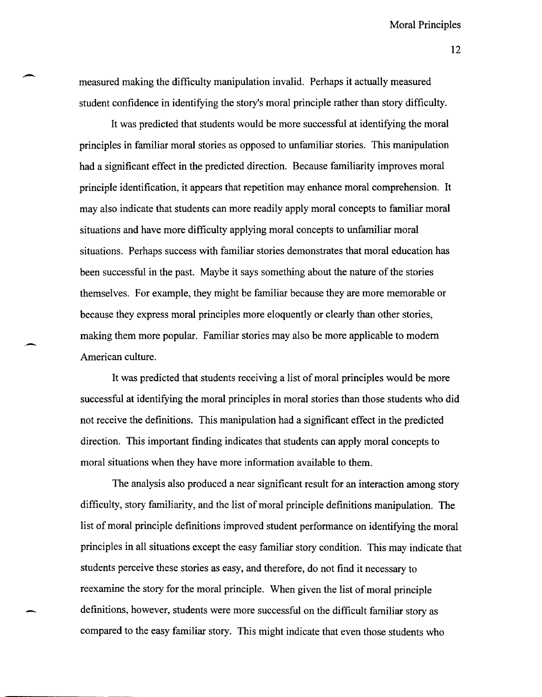12

measured making the difficulty manipulation invalid. Perhaps it actually measured student confidence in identifying the story's moral principle rather than story difficulty.

 $\overline{\phantom{a}}$ 

It was predicted that students would be more successful at identifying the moral principles in familiar moral stories as opposed to unfamiliar stories. This manipulation had a significant effect in the predicted direction. Because familiarity improves moral principle identification, it appears that repetition may enhance moral comprehension. It may also indicate that students can more readily apply moral concepts to familiar moral situations and have more difficulty applying moral concepts to unfamiliar moral situations. Perhaps success with familiar stories demonstrates that moral education has been successful in the past. Maybe it says something about the nature of the stories themselves. For example, they might be familiar because they are more memorable or because they express moral principles more eloquently or clearly than other stories, making them more popular. Familiar stories may also be more applicable to modem American culture.

It was predicted that students receiving a list of moral principles would be more successful at identifying the moral principles in moral stories than those students who did not receive the definitions. This manipulation had a significant effect in the predicted direction. This important finding indicates that students can apply moral concepts to moral situations when they have more information available to them.

The analysis also produced a near significant result for an interaction among story difficulty, story familiarity, and the list of moral principle definitions manipulation. The list of moral principle definitions improved student performance on identifying the moral principles in all situations except the easy familiar story condition. This may indicate that students perceive these stories as easy, and therefore, do not find it necessary to reexamine the story for the moral principle. When given the list of moral principle definitions, however, students were more successful on the difficult familiar story as compared to the easy familiar story. This might indicate that even those students who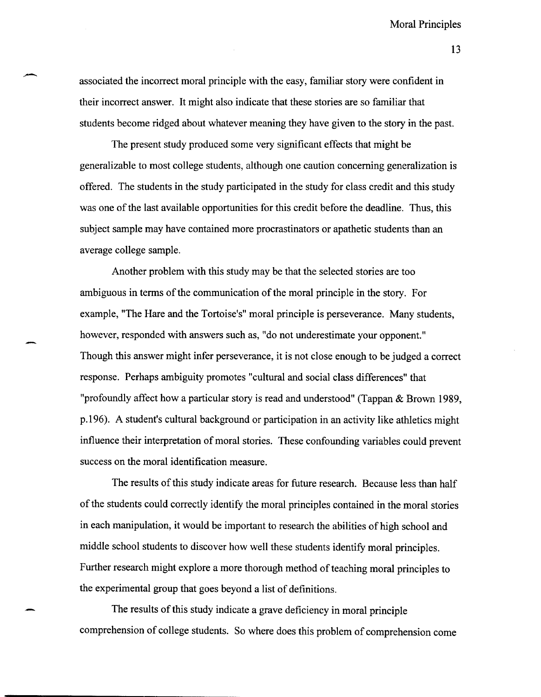associated the incorrect moral principle with the easy, familiar story were confident in their incorrect answer. It might also indicate that these stories are so familiar that students become ridged about whatever meaning they have given to the story in the past.

The present study produced some very significant effects that might be generalizable to most college students, although one caution concerning generalization is offered. The students in the study participated in the study for class credit and this study was one of the last available opportunities for this credit before the deadline. Thus, this subject sample may have contained more procrastinators or apathetic students than an average college sample.

Another problem with this study may be that the selected stories are too ambiguous in terms of the communication of the moral principle in the story. For example, "The Hare and the Tortoise's" moral principle is perseverance. Many students, however, responded with answers such as, "do not underestimate your opponent." Though this answer might infer perseverance, it is not close enough to be judged a correct response. Perhaps ambiguity promotes "cultural and social class differences" that "profoundly affect how a particular story is read and understood" (Tappan & Brown 1989, p.196). A student's cultural background or participation in an activity like athletics might influence their interpretation of moral stories. These confounding variables could prevent success on the moral identification measure.

The results of this study indicate areas for future research. Because less than half of the students could correctly identify the moral principles contained in the moral stories in each manipulation, it would be important to research the abilities of high school and middle school students to discover how well these students identify moral principles. Further research might explore a more thorough method of teaching moral principles to the experimental group that goes beyond a list of definitions.

The results of this study indicate a grave deficiency in moral principle comprehension of college students. So where does this problem of comprehension come

13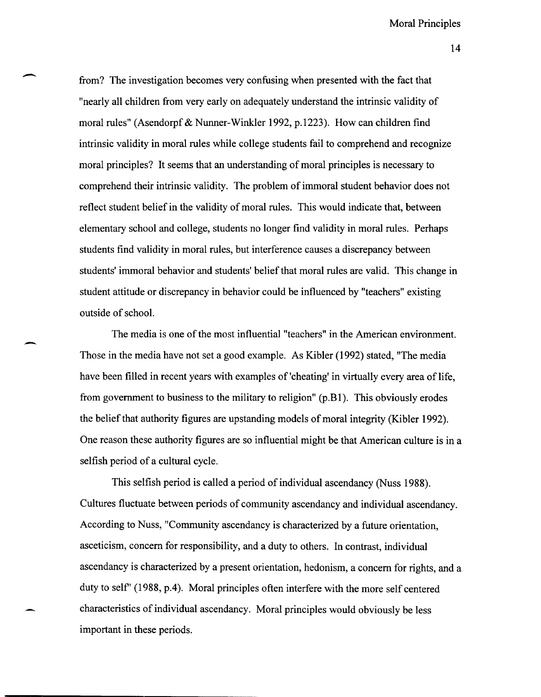from? The investigation becomes very confusing when presented with the fact that "nearly all children from very early on adequately understand the intrinsic validity of moral rules" (Asendorpf & Nunner-Winkler 1992, p.1223). How can children find intrinsic validity in moral rules while college students fail to comprehend and recognize moral principles? It seems that an understanding of moral principles is necessary to comprehend their intrinsic validity. The problem of immoral student behavior does not reflect student belief in the validity of moral rules. This would indicate that, between elementary school and college, students no longer find validity in moral rules. Perhaps students find validity in moral rules, but interference causes a discrepancy between students' immoral behavior and students' belief that moral rules are valid. This change in student attitude or discrepancy in behavior could be influenced by "teachers" existing outside of school.

-

-

The media is one of the most influential "teachers" in the American environment. Those in the media have not set a good example. As Kibler (1992) stated, "The media have been filled in recent years with examples of 'cheating' in virtually every area of life, from government to business to the military to religion" (p.B1). This obviously erodes the belief that authority figures are upstanding models of moral integrity (Kibler 1992). One reason these authority figures are so influential might be that American culture is in a selfish period of a cultural cycle.

This selfish period is called a period of individual ascendancy (Nuss 1988). Cultures fluctuate between periods of community ascendancy and individual ascendancy. According to Nuss, "Community ascendancy is characterized by a future orientation, asceticism, concern for responsibility, and a duty to others. In contrast, individual ascendancy is characterized by a present orientation, hedonism, a concern for rights, and a duty to self' (1988, p.4). Moral principles often interfere with the more self centered characteristics of individual ascendancy. Moral principles would obviously be less important in these periods.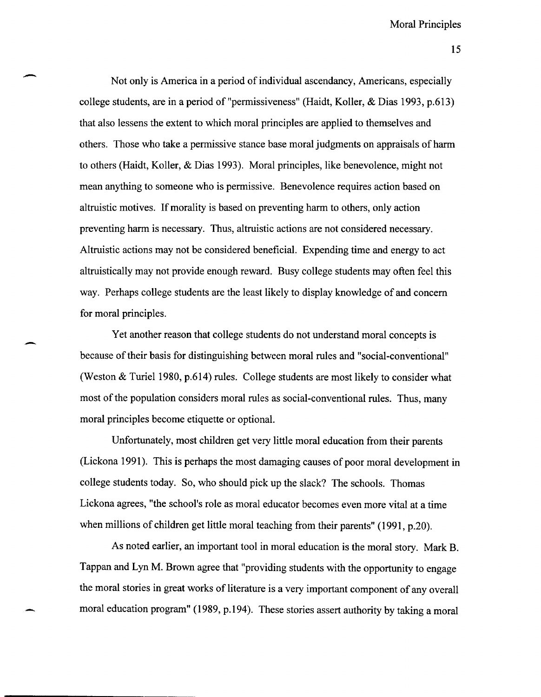15

Not only is America in a period of individual ascendancy, Americans, especially college students, are in a period of "permissiveness" (Haidt, Koller, & Dias 1993, p.613) that also lessens the extent to which moral principles are applied to themselves and others. Those who take a permissive stance base moral judgments on appraisals of harm to others (Haidt, Koller, & Dias 1993). Moral principles, like benevolence, might not mean anything to someone who is permissive. Benevolence requires action based on altruistic motives. If morality is based on preventing harm to others, only action preventing harm is necessary. Thus, altruistic actions are not considered necessary. Altruistic actions may not be considered beneficial. Expending time and energy to act altruistically may not provide enough reward. Busy college students may often feel this way. Perhaps college students are the least likely to display knowledge of and concern for moral principles.

-

-

Yet another reason that college students do not understand moral concepts is because of their basis for distinguishing between moral rules and "social-conventional" (Weston & Turiel 1980, p.614) rules. College students are most likely to consider what most of the population considers moral rules as social-conventional rules. Thus, many moral principles become etiquette or optional.

Unfortunately, most children get very little moral education from their parents (Lickona 1991). This is perhaps the most damaging causes of poor moral development in college students today. So, who should pick up the slack? The schools. Thomas Lickona agrees, "the school's role as moral educator becomes even more vital at a time when millions of children get little moral teaching from their parents" (1991, p.20).

As noted earlier, an important tool in moral education is the moral story. Mark B. Tappan and Lyn M. Brown agree that "providing students with the opportunity to engage the moral stories in great works of literature is a very important component of any overall moral education program" (1989, p.194). These stories assert authority by taking a moral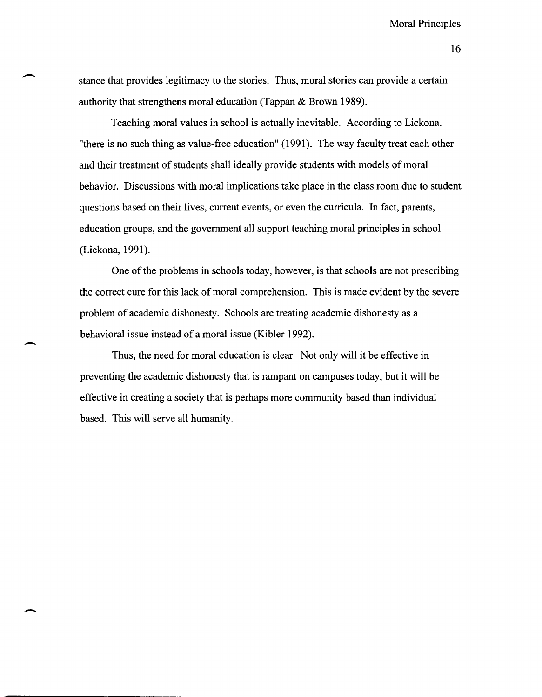16

stance that provides legitimacy to the stories. Thus, moral stories can provide a certain authority that strengthens moral education (Tappan & Brown 1989).

-

-

-

Teaching moral values in school is actually inevitable. According to Lickona, "there is no such thing as value-free education" (1991). The way faculty treat each other and their treatment of students shall ideally provide students with models of moral behavior. Discussions with moral implications take place in the class room due to student questions based on their lives, current events, or even the curricula. In fact, parents, education groups, and the government all support teaching moral principles in school (Lickona, 1991).

One of the problems in schools today, however, is that schools are not prescribing the correct cure for this lack of moral comprehension. This is made evident by the severe problem of academic dishonesty. Schools are treating academic dishonesty as a behavioral issue instead of a moral issue (Kibler 1992).

Thus, the need for moral education is clear. Not only will it be effective in preventing the academic dishonesty that is rampant on campuses today, but it will be effective in creating a society that is perhaps more community based than individual based. This will serve all humanity.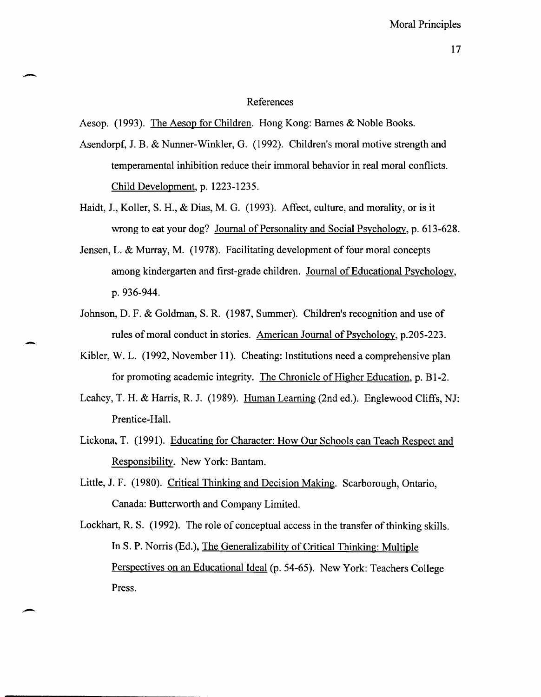#### 17

#### References

Aesop. (1993). The Aesop for Children. Hong Kong: Barnes & Noble Books.

 $\overline{\phantom{0}}$ 

-

-

Asendorpf, J. B. & Nunner-Winkler, G. (1992). Children's moral motive strength and temperamental inhibition reduce their immoral behavior in real moral conflicts. Child Development, p. 1223-1235.

- Haidt, J., Koller, S. H., & Dias, M. G. (1993). Affect, culture, and morality, or is it wrong to eat your dog? Journal of Personality and Social Psychology, p. 613-628.
- Jensen, L. & Murray, M. (1978). Facilitating development of four moral concepts among kindergarten and first-grade children. Journal of Educational Psychology, p.936-944.
- Johnson, D. F. & Goldman, S. R. (1987, Summer). Children's recognition and use of rules of moral conduct in stories. American Journal of Psychology, p.205-223.
- Kibler, W. L. (1992, November 11). Cheating: Institutions need a comprehensive plan for promoting academic integrity. The Chronicle of Higher Education, p. BI-2.
- Leahey, T. H. & Harris, R. J. (1989). Human Learning (2nd ed.). Englewood Cliffs, NJ: Prentice-Hall.
- Lickona, T. (1991). Educating for Character: How Our Schools can Teach Respect and Responsibility. New York: Bantam.
- Little, J. F. (1980). Critical Thinking and Decision Making. Scarborough, Ontario, Canada: Butterworth and Company Limited.

Lockhart, R. S. (1992). The role of conceptual access in the transfer of thinking skills. In S. P. Norris (Ed.), The Generalizability of Critical Thinking: Multiple Perspectives on an Educational Ideal (p. 54-65). New York: Teachers College Press.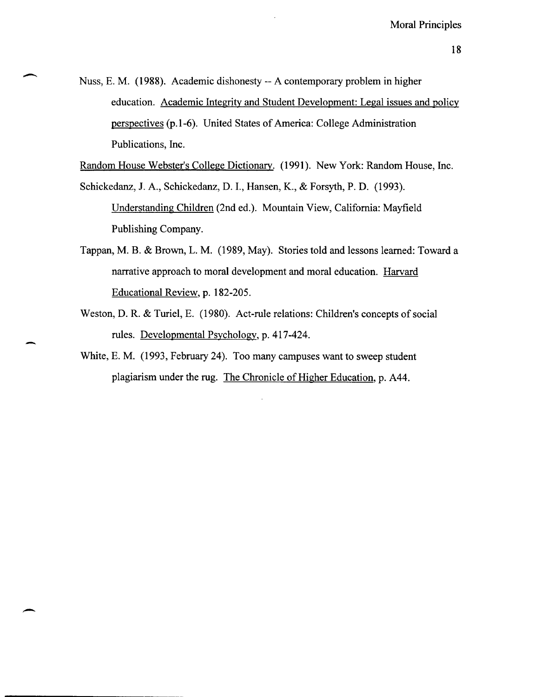Nuss, E. M. (1988). Academic dishonesty -- A contemporary problem in higher education. Academic Integrity and Student Development: Legal issues and policy perspectives (p.1-6). United States of America: College Administration Publications, Inc.

 $\overline{\phantom{0}}$ 

-

-

Random House Webster's College Dictionary. (1991). New York: Random House, Inc.

Schickedanz, J. A., Schickedanz, D. 1., Hansen, K., & Forsyth, P. D. (1993). Understanding Children (2nd ed.). Mountain View, California: Mayfield Publishing Company.

- Tappan, M. B. & Brown, L. M. (1989, May). Stories told and lessons learned: Toward a narrative approach to moral development and moral education. Harvard Educational Review, p. 182-205.
- Weston, D. R. & Turiel, E. (1980). Act-rule relations: Children's concepts of social rules. Developmental Psychology, p. 417-424.
- White, E. M. (1993, February 24). Too many campuses want to sweep student plagiarism under the rug. The Chronicle of Higher Education, p. A44.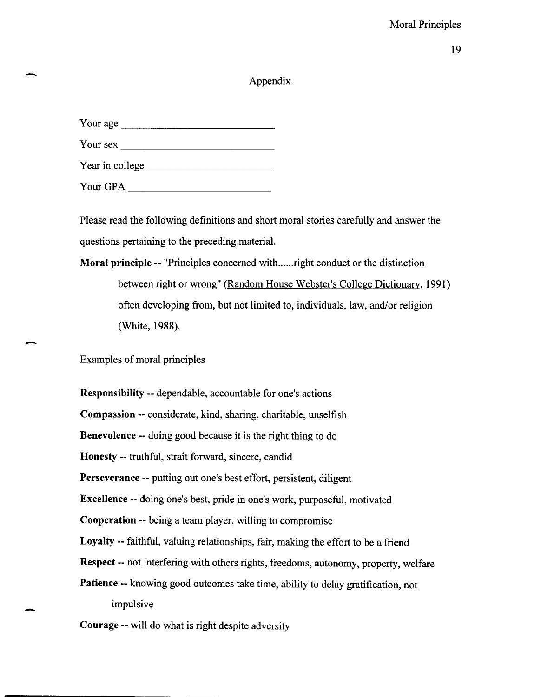## 19

## Appendix

| Your age        |
|-----------------|
| Your sex        |
| Year in college |
| Your GPA        |

-

-

Please read the following definitions and short moral stories carefully and answer the questions pertaining to the preceding material.

# Moral principle -- "Principles concerned with ...... right conduct or the distinction between right or wrong" (Random House Webster's College Dictionary, 1991) often developing from, but not limited to, individuals, law, and/or religion (White, 1988).

Examples of moral principles

Responsibility -- dependable, accountable for one's actions Compassion -- considerate, kind, sharing, charitable, unselfish Benevolence -- doing good because it is the right thing to do Honesty -- truthful, strait forward, sincere, candid Perseverance -- putting out one's best effort, persistent, diligent Excellence -- doing one's best, pride in one's work, purposeful, motivated Cooperation -- being a team player, willing to compromise Loyalty -- faithful, valuing relationships, fair, making the effort to be a friend Respect -- not interfering with others rights, freedoms, autonomy, property, welfare Patience -- knowing good outcomes take time, ability to delay gratification, not impulsive Courage -- will do what is right despite adversity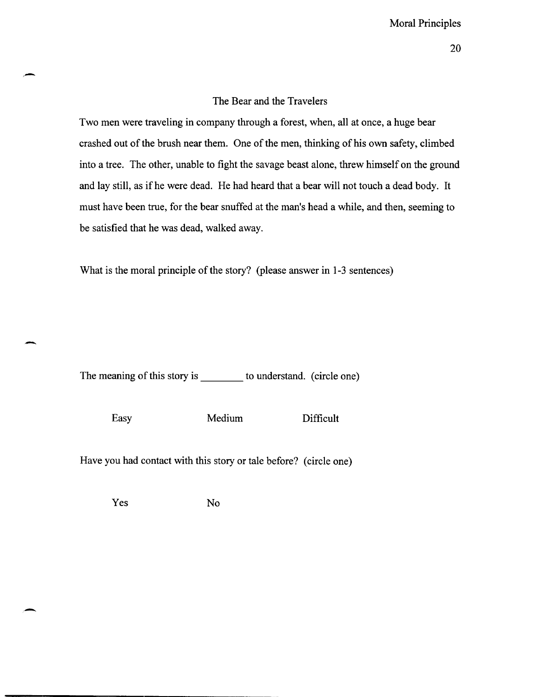#### The Bear and the Travelers

Two men were traveling in company through a forest, when, all at once, a huge bear crashed out of the brush near them. One of the men, thinking of his own safety, climbed into a tree. The other, unable to fight the savage beast alone, threw himself on the ground and lay still, as ifhe were dead. He had heard that a bear will not touch a dead body. It must have been true, for the bear snuffed at the man's head a while, and then, seeming to be satisfied that he was dead, walked away.

What is the moral principle of the story? (please answer in 1-3 sentences)

The meaning of this story is \_\_\_\_\_\_\_\_ to understand. (circle one)

-

-

Easy Medium Difficult

Have you had contact with this story or tale before? (circle one)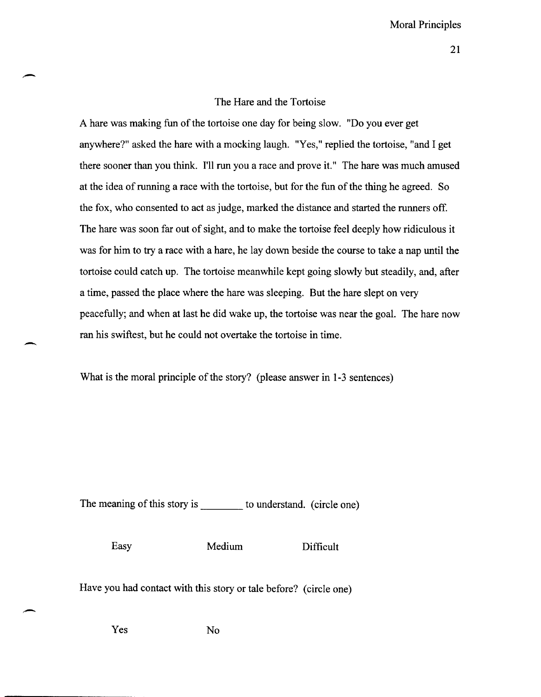## The Hare and the Tortoise

A hare was making fun of the tortoise one day for being slow. "Do you ever get anywhere?" asked the hare with a mocking laugh. "Yes," replied the tortoise, "and I get there sooner than you think. **I'll** run you a race and prove it." The hare was much amused at the idea of running a race with the tortoise, but for the fun of the thing he agreed. So the fox, who consented to act as judge, marked the distance and started the runners off. The hare was soon far out of sight, and to make the tortoise feel deeply how ridiculous it was for him to try a race with a hare, he lay down beside the course to take a nap until the tortoise could catch up. The tortoise meanwhile kept going slowly but steadily, and, after a time, passed the place where the hare was sleeping. But the hare slept on very peacefully; and when at last he did wake up, the tortoise was near the goal. The hare now ran his swiftest, but he could not overtake the tortoise in time .

What is the moral principle of the story? (please answer in 1-3 sentences)

The meaning of this story is \_\_\_\_\_\_\_\_ to understand. (circle one)

. -

-

Easy Medium Difficult

Have you had contact with this story or tale before? (circle one)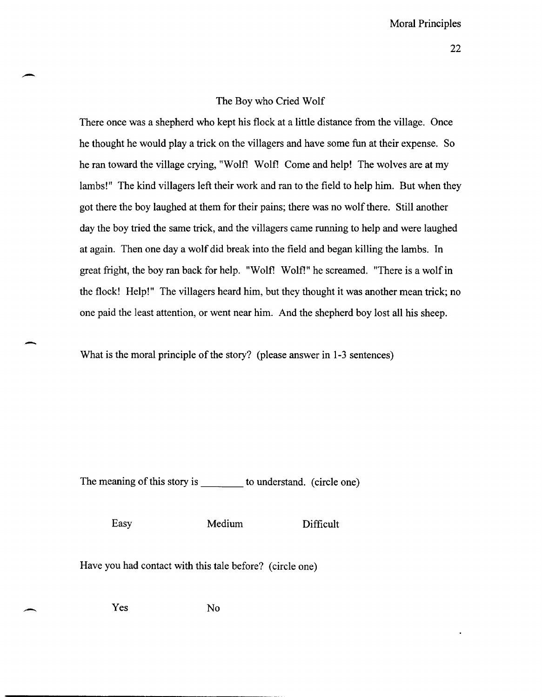#### The Boy who Cried Wolf

There once was a shepherd who kept his flock at a little distance from the village. Once he thought he would playa trick on the villagers and have some fun at their expense. So he ran toward the village crying, "Wolf! Wolf! Come and help! The wolves are at my lambs!" The kind villagers left their work and ran to the field to help him. But when they got there the boy laughed at them for their pains; there was no wolf there. Still another day the boy tried the same trick, and the villagers came running to help and were laughed at again. Then one day a wolf did break into the field and began killing the lambs. In great fright, the boy ran back for help. "Wolf! Wolf!" he screamed. "There is a wolf in the flock! Help!" The villagers heard him, but they thought it was another mean trick; no one paid the least attention, or went near him. And the shepherd boy lost all his sheep.

What is the moral principle of the story? (please answer in 1-3 sentences)

The meaning of this story is to understand. (circle one)

-

-

--

Easy Medium Difficult

Have you had contact with this tale before? (circle one)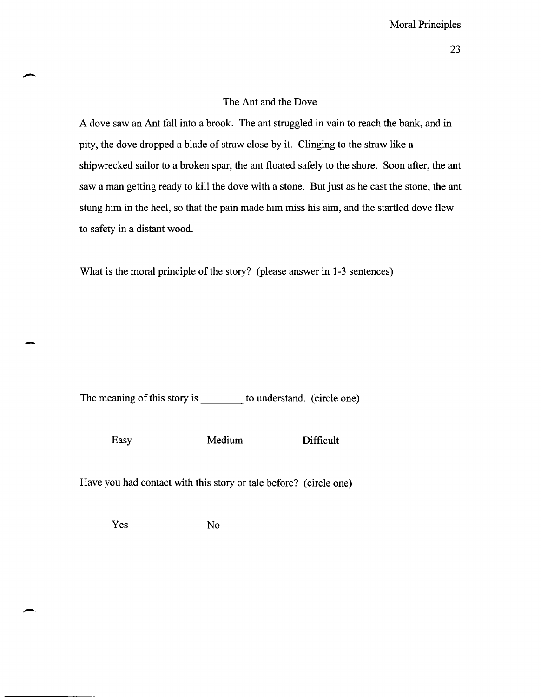## The Ant and the Dove

A dove saw an Ant fall into a brook. The ant struggled in vain to reach the bank, and in pity, the dove dropped a blade of straw close by it. Clinging to the straw like a shipwrecked sailor to a broken spar, the ant floated safely to the shore. Soon after, the ant saw a man getting ready to kill the dove with a stone. But just as he cast the stone, the ant stung him in the heel, so that the pain made him miss his aim, and the startled dove flew to safety in a distant wood.

What is the moral principle of the story? (please answer in 1-3 sentences)

The meaning of this story is to understand. (circle one)

-

 $\overline{\phantom{0}}$ 

Easy Medium Difficult

Have you had contact with this story or tale before? (circle one)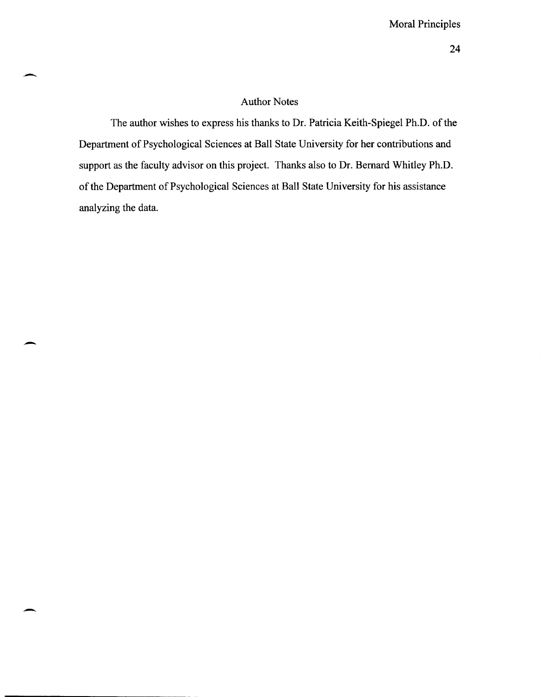## Author Notes

The author wishes to express his thanks to Dr. Patricia Keith-Spiegel Ph.D. of the Department of Psychological Sciences at Ball State University for her contributions and support as the faculty advisor on this project. Thanks also to Dr. Bernard Whitley Ph.D. of the Department of Psychological Sciences at Ball State University for his assistance analyzing the data.

-

-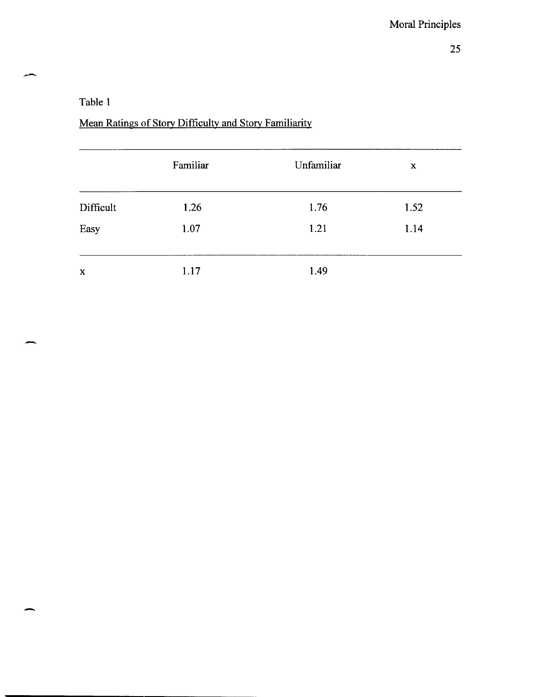## Table 1

-

بتعبير

-

# Mean Ratings of Story Difficulty and Story Familiarity

|           | Familiar | Unfamiliar | X    |  |
|-----------|----------|------------|------|--|
| Difficult | 1.26     | 1.76       | 1.52 |  |
| Easy      | 1.07     | 1.21       | 1.14 |  |
| X         | 1.17     | 1.49       |      |  |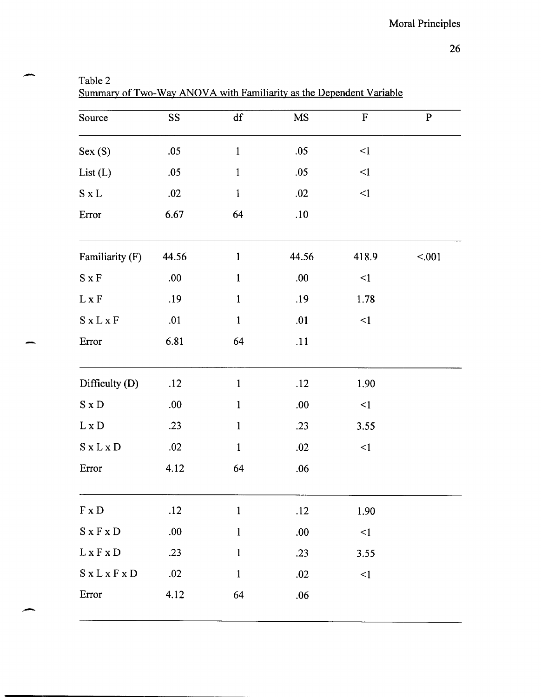| арк<br>⊏ |  |
|----------|--|
|----------|--|

.-

-

Summary of Two-Way ANOVA with Familiarity as the Dependent Variable

| Source                                        | SS    | df           | MS    | $\mathbf F$ | $\mathbf{P}$ |
|-----------------------------------------------|-------|--------------|-------|-------------|--------------|
| Sex(S)                                        | .05   | $\mathbf{1}$ | .05   | $\leq$ 1    |              |
| List(L)                                       | .05   | $\mathbf{1}$ | .05   | $\leq$ 1    |              |
| $S \times L$                                  | .02   | $\mathbf{1}$ | .02   | $\leq$ 1    |              |
| Error                                         | 6.67  | 64           | .10   |             |              |
| Familiarity (F)                               | 44.56 | $\mathbf{1}$ | 44.56 | 418.9       | < .001       |
| $\mathbf S$ x $\mathbf F$                     | .00.  | $\mathbf{1}$ | .00.  | $\leq$ 1    |              |
| $L \times F$                                  | .19   | $\mathbf{1}$ | .19   | 1.78        |              |
| $S \times L \times F$                         | .01   | $\mathbf{1}$ | .01   | $\leq$      |              |
| Error                                         | 6.81  | 64           | .11   |             |              |
| Difficulty (D)                                | .12   | $\mathbf{1}$ | .12   | 1.90        |              |
| $S \times D$                                  | .00.  | $\mathbf{1}$ | .00.  | $\leq$ 1    |              |
| $L \times D$                                  | .23   | $\mathbf{1}$ | .23   | 3.55        |              |
| $S \times L \times D$                         | .02   | $\mathbf{1}$ | .02   | $\leq$ 1    |              |
| Error                                         | 4.12  | 64           | .06   |             |              |
|                                               |       |              |       |             |              |
| $F \times D$                                  | .12   | $\mathbf{1}$ | .12   | 1.90        |              |
| $S \times F \times D$                         | .00.  | $\mathbf{1}$ | .00   | $\leq$ 1    |              |
| ${\bf L}\,{\bf x}\,{\bf F}\,{\bf x}\,{\bf D}$ | .23   | $\mathbf{1}$ | .23   | 3.55        |              |
| $S$ x $L$ x $F$ x $D$                         | .02   | $\mathbf 1$  | .02   | $\leq$      |              |
| Error                                         | 4.12  | 64           | .06   |             |              |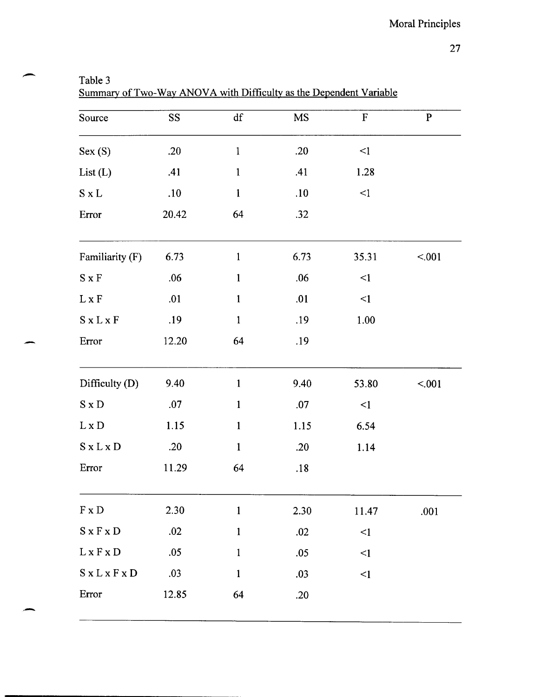| anie |  |
|------|--|
|------|--|

-

-

-

Summary of Two-Way ANOVA with Difficulty as the Dependent Variable

| Source                                        | SS <sub>1</sub> | df           | <b>MS</b> | ${\bf F}$ | ${\bf P}$ |
|-----------------------------------------------|-----------------|--------------|-----------|-----------|-----------|
| Sex(S)                                        | .20             | $\mathbf{1}$ | .20       | $\leq$ 1  |           |
| List(L)                                       | .41             | $\mathbf{1}$ | .41       | 1.28      |           |
| $S \times L$                                  | .10             | $\mathbf{1}$ | .10       | $\leq$ 1  |           |
| Error                                         | 20.42           | 64           | .32       |           |           |
| Familiarity (F)                               | 6.73            | $\mathbf{1}$ | 6.73      | 35.31     | < .001    |
| $S \times F$                                  | .06             | $\mathbf{1}$ | .06       | $\leq$ 1  |           |
| $L \times F$                                  | .01             | $\mathbf{1}$ | .01       | $\leq$ 1  |           |
| $S \times L \times F$                         | .19             | $\mathbf{1}$ | .19       | 1.00      |           |
| Error                                         | 12.20           | 64           | .19       |           |           |
| Difficulty (D)                                | 9.40            | $\mathbf{1}$ | 9.40      | 53.80     | < 001     |
| $S \times D$                                  | .07             | $\mathbf{1}$ | .07       | $\leq$    |           |
| $L \times D$                                  | 1.15            | $\mathbf{1}$ | 1.15      | 6.54      |           |
| $S \times L \times D$                         | .20             | $\mathbf{1}$ | .20       | 1.14      |           |
| Error                                         | 11.29           | 64           | .18       |           |           |
| $F \times D$                                  | 2.30            | $\mathbf{1}$ | 2.30      | 11.47     | .001      |
| $S \times F \times D$                         | .02             | $\mathbf{1}$ | .02       | $\leq$ 1  |           |
| ${\bf L}\,{\bf x}\,{\bf F}\,{\bf x}\,{\bf D}$ | .05             | $\mathbf{1}$ | .05       | $\leq$ 1  |           |
| $S \times L \times F \times D$                | .03             | $\mathbf{1}$ | .03       | $\leq$ 1  |           |
| Error                                         | 12.85           | 64           | .20       |           |           |
|                                               |                 |              |           |           |           |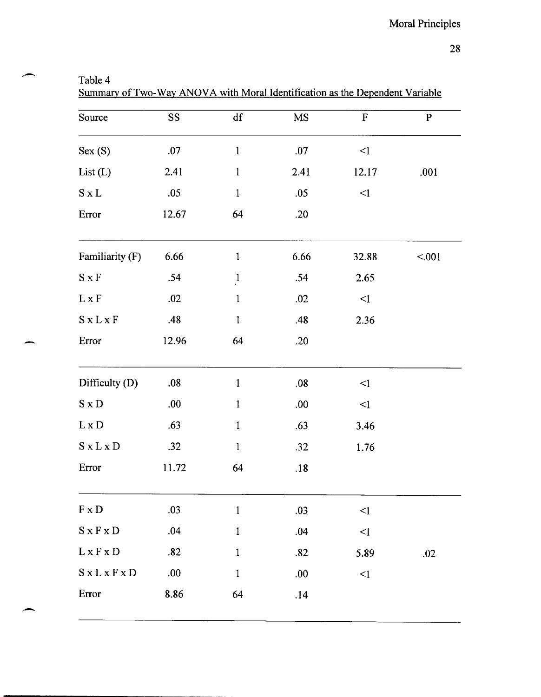| able |  |
|------|--|
|------|--|

--

-

Summary of Two-Way ANOVA with Moral Identification as the Dependent Variable

| Source                               | <b>SS</b> | $\mathrm{d}\mathbf{f}$ | $\overline{\rm MS}$ | $\mathbf F$ | ${\bf P}$ |
|--------------------------------------|-----------|------------------------|---------------------|-------------|-----------|
| Sex(S)                               | .07       | $\mathbf{1}$           | .07                 | $\leq$ 1    |           |
| List(L)                              | 2.41      | $\mathbf{1}$           | 2.41                | 12.17       | .001      |
| $S \times L$                         | .05       | $\mathbf{1}$           | .05                 | $\leq$      |           |
| Error                                | 12.67     | 64                     | .20                 |             |           |
| Familiarity (F)                      | 6.66      | $\mathbf{1}$           | 6.66                | 32.88       | < .001    |
| $S \times F$                         | .54       | $\mathbf{1}$           | .54                 | 2.65        |           |
| $L \times F$                         | .02       | $\mathbf{1}$           | .02                 | $\leq$ 1    |           |
| $S \times L \times F$                | .48       | $\mathbf{1}$           | .48                 | 2.36        |           |
| Error                                | 12.96     | 64                     | .20                 |             |           |
| Difficulty (D)                       | .08       | $\mathbf{1}$           | .08                 | $\leq$ 1    |           |
| $S \times D$                         | .00       | $\mathbf{1}$           | .00.                | $\leq$ 1    |           |
| $L \times D$                         | .63       | $\mathbf{1}$           | .63                 | 3.46        |           |
| $S \times L \times D$                | .32       | $\mathbf{1}$           | .32                 | 1.76        |           |
| Error                                | 11.72     | 64                     | .18                 |             |           |
| $\mathbf{F}\,\mathbf{x}\,\mathbf{D}$ | .03       | $\mathbf{1}$           | .03                 | $\leq$ 1    |           |
| $S \times F \times D$                | .04       | $\mathbf{1}$           | .04                 | $\leq$      |           |
| $L \times F \times D$                | .82       | $\mathbf{1}$           | .82                 | 5.89        | .02       |
| $S \times L \times F \times D$       | .00.      | $\mathbf 1$            | .00                 | $\leq$ 1    |           |
| Error                                | 8.86      | 64                     | .14                 |             |           |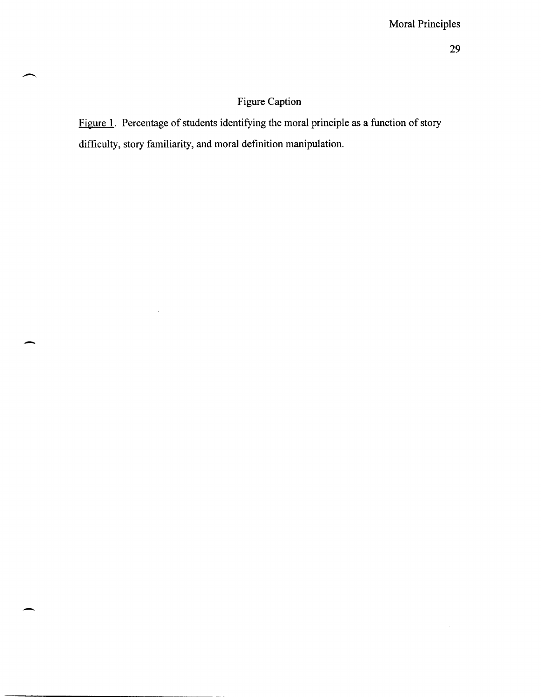## Figure Caption

Figure 1. Percentage of students identifying the moral principle as a function of story difficulty, story familiarity, and moral definition manipulation.

-

 $\ddot{\phantom{0}}$